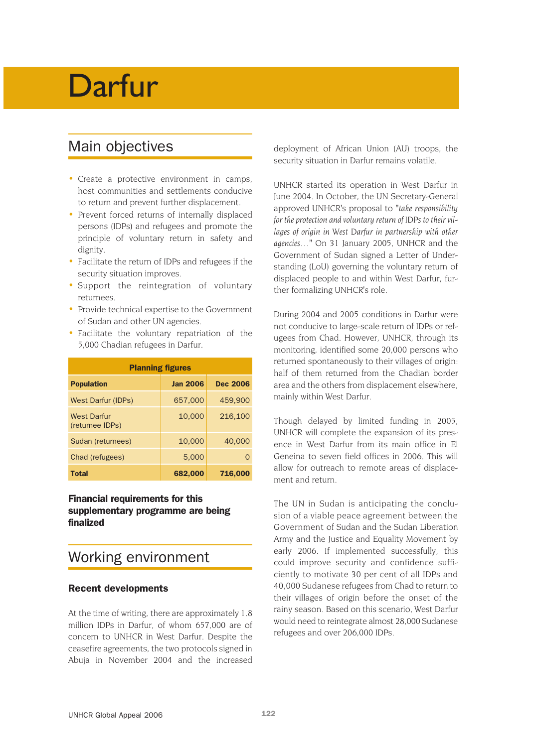# Darfur

# Main objectives

- Create a protective environment in camps, host communities and settlements conducive to return and prevent further displacement.
- Prevent forced returns of internally displaced persons (IDPs) and refugees and promote the principle of voluntary return in safety and dignity.
- Facilitate the return of IDPs and refugees if the security situation improves.
- Support the reintegration of voluntary returnees.
- Provide technical expertise to the Government of Sudan and other UN agencies.
- Facilitate the voluntary repatriation of the 5,000 Chadian refugees in Darfur.

| <b>Planning figures</b>               |                 |                 |  |
|---------------------------------------|-----------------|-----------------|--|
| <b>Population</b>                     | <b>Jan 2006</b> | <b>Dec 2006</b> |  |
| <b>West Darfur (IDPs)</b>             | 657,000         | 459,900         |  |
| <b>West Darfur</b><br>(returnee IDPs) | 10,000          | 216,100         |  |
| Sudan (returnees)                     | 10,000          | 40,000          |  |
| Chad (refugees)                       | 5.000           | O               |  |
| <b>Total</b>                          | 682,000         | 716,000         |  |

#### **Financial requirements for this supplementary programme are being finalized**

# Working environment

### **Recent developments**

At the time of writing, there are approximately 1.8 million IDPs in Darfur, of whom 657,000 are of concern to UNHCR in West Darfur. Despite the ceasefire agreements, the two protocols signed in Abuja in November 2004 and the increased

deployment of African Union (AU) troops, the security situation in Darfur remains volatile.

UNHCR started its operation in West Darfur in June 2004. In October, the UN Secretary-General approved UNHCR's proposal to *"take responsibility for the protection and voluntary return of IDPs to their villages of origin in West Darfur in partnership with other agencies…"* On 31 January 2005, UNHCR and the Government of Sudan signed a Letter of Understanding (LoU) governing the voluntary return of displaced people to and within West Darfur, further formalizing UNHCR's role.

During 2004 and 2005 conditions in Darfur were not conducive to large-scale return of IDPs or refugees from Chad. However, UNHCR, through its monitoring, identified some 20,000 persons who returned spontaneously to their villages of origin: half of them returned from the Chadian border area and the others from displacement elsewhere, mainly within West Darfur.

Though delayed by limited funding in 2005, UNHCR will complete the expansion of its presence in West Darfur from its main office in El Geneina to seven field offices in 2006. This will allow for outreach to remote areas of displacement and return.

The UN in Sudan is anticipating the conclusion of a viable peace agreement between the Government of Sudan and the Sudan Liberation Army and the Justice and Equality Movement by early 2006. If implemented successfully, this could improve security and confidence sufficiently to motivate 30 per cent of all IDPs and 40,000 Sudanese refugees from Chad to return to their villages of origin before the onset of the rainy season. Based on this scenario, West Darfur would need to reintegrate almost 28,000 Sudanese refugees and over 206,000 IDPs.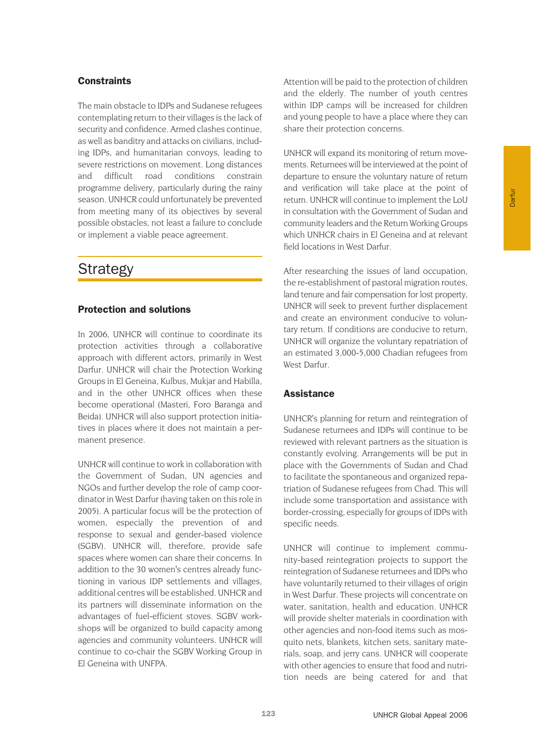## **Constraints**

The main obstacle to IDPs and Sudanese refugees contemplating return to their villages is the lack of security and confidence. Armed clashes continue, as well as banditry and attacks on civilians, including IDPs, and humanitarian convoys, leading to severe restrictions on movement. Long distances and difficult road conditions constrain programme delivery, particularly during the rainy season. UNHCR could unfortunately be prevented from meeting many of its objectives by several possible obstacles, not least a failure to conclude or implement a viable peace agreement.

# **Strategy**

#### **Protection and solutions**

In 2006, UNHCR will continue to coordinate its protection activities through a collaborative approach with different actors, primarily in West Darfur. UNHCR will chair the Protection Working Groups in El Geneina, Kulbus, Mukjar and Habilla, and in the other UNHCR offices when these become operational (Masteri, Foro Baranga and Beida). UNHCR will also support protection initiatives in places where it does not maintain a permanent presence.

UNHCR will continue to work in collaboration with the Government of Sudan, UN agencies and NGOs and further develop the role of camp coordinator in West Darfur (having taken on this role in 2005). A particular focus will be the protection of women, especially the prevention of and response to sexual and gender-based violence (SGBV). UNHCR will, therefore, provide safe spaces where women can share their concerns. In addition to the 30 women's centres already functioning in various IDP settlements and villages, additional centres will be established. UNHCR and its partners will disseminate information on the advantages of fuel-efficient stoves. SGBV workshops will be organized to build capacity among agencies and community volunteers. UNHCR will continue to co-chair the SGBV Working Group in El Geneina with UNFPA.

Attention will be paid to the protection of children and the elderly. The number of youth centres within IDP camps will be increased for children and young people to have a place where they can share their protection concerns.

UNHCR will expand its monitoring of return movements. Returnees will be interviewed at the point of departure to ensure the voluntary nature of return and verification will take place at the point of return. UNHCR will continue to implement the LoU in consultation with the Government of Sudan and community leaders and the Return Working Groups which UNHCR chairs in El Geneina and at relevant field locations in West Darfur.

After researching the issues of land occupation, the re-establishment of pastoral migration routes, land tenure and fair compensation for lost property, UNHCR will seek to prevent further displacement and create an environment conducive to voluntary return. If conditions are conducive to return, UNHCR will organize the voluntary repatriation of an estimated 3,000-5,000 Chadian refugees from West Darfur.

### **Assistance**

UNHCR's planning for return and reintegration of Sudanese returnees and IDPs will continue to be reviewed with relevant partners as the situation is constantly evolving. Arrangements will be put in place with the Governments of Sudan and Chad to facilitate the spontaneous and organized repatriation of Sudanese refugees from Chad. This will include some transportation and assistance with border-crossing, especially for groups of IDPs with specific needs.

UNHCR will continue to implement community-based reintegration projects to support the reintegration of Sudanese returnees and IDPs who have voluntarily returned to their villages of origin in West Darfur. These projects will concentrate on water, sanitation, health and education. UNHCR will provide shelter materials in coordination with other agencies and non-food items such as mosquito nets, blankets, kitchen sets, sanitary materials, soap, and jerry cans. UNHCR will cooperate with other agencies to ensure that food and nutrition needs are being catered for and that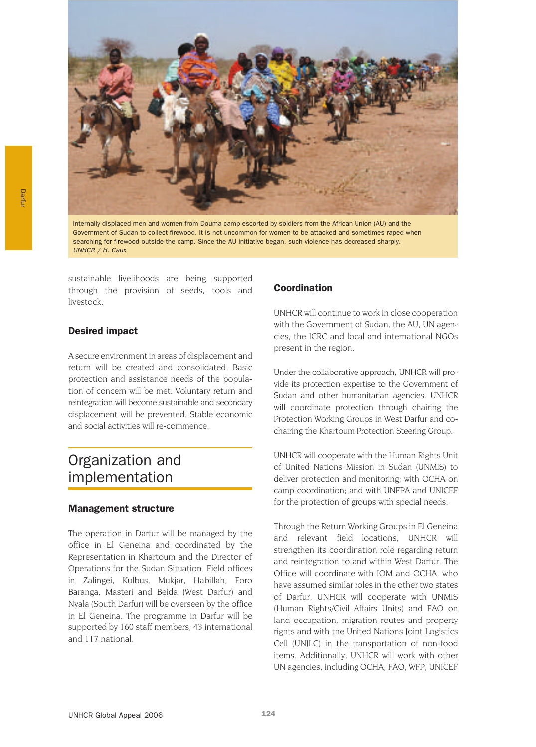

Internally displaced men and women from Douma camp escorted by soldiers from the African Union (AU) and the Government of Sudan to collect firewood. It is not uncommon for women to be attacked and sometimes raped when searching for firewood outside the camp. Since the AU initiative began, such violence has decreased sharply. *UNHCR / H. Caux*

sustainable livelihoods are being supported through the provision of seeds, tools and livestock.

#### **Desired impact**

A secure environment in areas of displacement and return will be created and consolidated. Basic protection and assistance needs of the population of concern will be met. Voluntary return and reintegration will become sustainable and secondary displacement will be prevented. Stable economic and social activities will re-commence.

## Organization and implementation

#### **Management structure**

The operation in Darfur will be managed by the office in El Geneina and coordinated by the Representation in Khartoum and the Director of Operations for the Sudan Situation. Field offices in Zalingei, Kulbus, Mukjar, Habillah, Foro Baranga, Masteri and Beida (West Darfur) and Nyala (South Darfur) will be overseen by the office in El Geneina. The programme in Darfur will be supported by 160 staff members, 43 international and 117 national.

#### **Coordination**

UNHCR will continue to work in close cooperation with the Government of Sudan, the AU, UN agencies, the ICRC and local and international NGOs present in the region.

Under the collaborative approach, UNHCR will provide its protection expertise to the Government of Sudan and other humanitarian agencies. UNHCR will coordinate protection through chairing the Protection Working Groups in West Darfur and cochairing the Khartoum Protection Steering Group.

UNHCR will cooperate with the Human Rights Unit of United Nations Mission in Sudan (UNMIS) to deliver protection and monitoring; with OCHA on camp coordination; and with UNFPA and UNICEF for the protection of groups with special needs.

Through the Return Working Groups in El Geneina and relevant field locations, UNHCR will strengthen its coordination role regarding return and reintegration to and within West Darfur. The Office will coordinate with IOM and OCHA, who have assumed similar roles in the other two states of Darfur. UNHCR will cooperate with UNMIS (Human Rights/Civil Affairs Units) and FAO on land occupation, migration routes and property rights and with the United Nations Joint Logistics Cell (UNJLC) in the transportation of non-food items. Additionally, UNHCR will work with other UN agencies, including OCHA, FAO, WFP, UNICEF